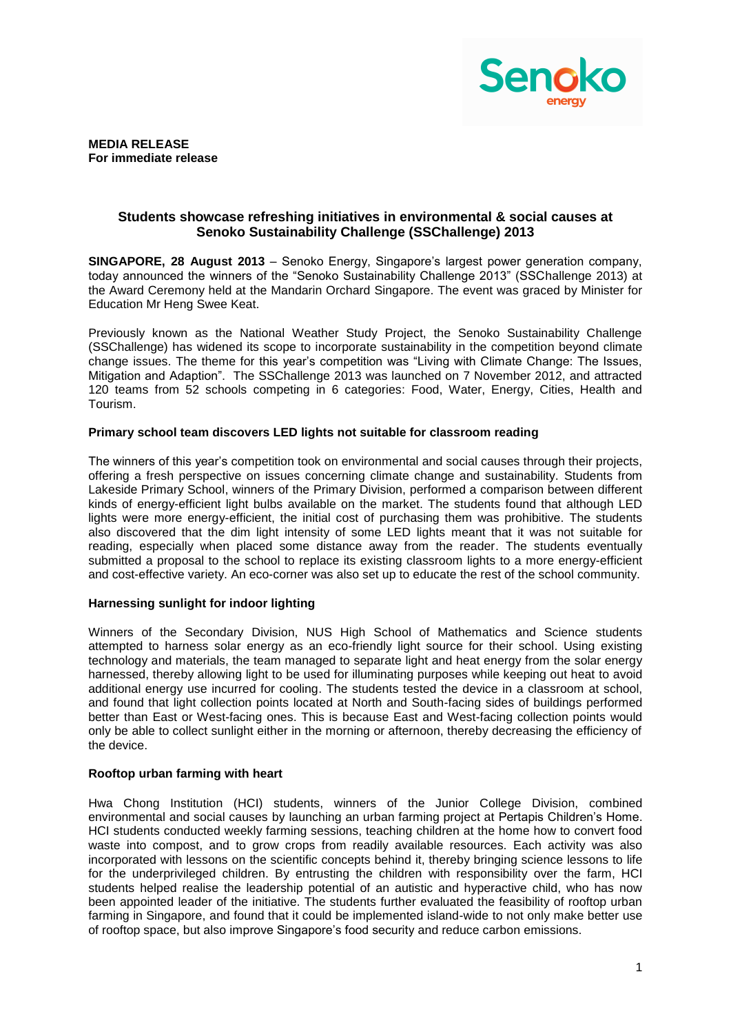

**MEDIA RELEASE For immediate release** 

### **Students showcase refreshing initiatives in environmental & social causes at Senoko Sustainability Challenge (SSChallenge) 2013**

**SINGAPORE, 28 August 2013** – Senoko Energy, Singapore's largest power generation company, today announced the winners of the "Senoko Sustainability Challenge 2013" (SSChallenge 2013) at the Award Ceremony held at the Mandarin Orchard Singapore. The event was graced by Minister for Education Mr Heng Swee Keat.

Previously known as the National Weather Study Project, the Senoko Sustainability Challenge (SSChallenge) has widened its scope to incorporate sustainability in the competition beyond climate change issues. The theme for this year's competition was "Living with Climate Change: The Issues, Mitigation and Adaption". The SSChallenge 2013 was launched on 7 November 2012, and attracted 120 teams from 52 schools competing in 6 categories: Food, Water, Energy, Cities, Health and Tourism.

# **Primary school team discovers LED lights not suitable for classroom reading**

The winners of this year's competition took on environmental and social causes through their projects, offering a fresh perspective on issues concerning climate change and sustainability. Students from Lakeside Primary School, winners of the Primary Division, performed a comparison between different kinds of energy-efficient light bulbs available on the market. The students found that although LED lights were more energy-efficient, the initial cost of purchasing them was prohibitive. The students also discovered that the dim light intensity of some LED lights meant that it was not suitable for reading, especially when placed some distance away from the reader. The students eventually submitted a proposal to the school to replace its existing classroom lights to a more energy-efficient and cost-effective variety. An eco-corner was also set up to educate the rest of the school community.

### **Harnessing sunlight for indoor lighting**

Winners of the Secondary Division, NUS High School of Mathematics and Science students attempted to harness solar energy as an eco-friendly light source for their school. Using existing technology and materials, the team managed to separate light and heat energy from the solar energy harnessed, thereby allowing light to be used for illuminating purposes while keeping out heat to avoid additional energy use incurred for cooling. The students tested the device in a classroom at school, and found that light collection points located at North and South-facing sides of buildings performed better than East or West-facing ones. This is because East and West-facing collection points would only be able to collect sunlight either in the morning or afternoon, thereby decreasing the efficiency of the device.

### **Rooftop urban farming with heart**

Hwa Chong Institution (HCI) students, winners of the Junior College Division, combined environmental and social causes by launching an urban farming project at Pertapis Children's Home. HCI students conducted weekly farming sessions, teaching children at the home how to convert food waste into compost, and to grow crops from readily available resources. Each activity was also incorporated with lessons on the scientific concepts behind it, thereby bringing science lessons to life for the underprivileged children. By entrusting the children with responsibility over the farm, HCI students helped realise the leadership potential of an autistic and hyperactive child, who has now been appointed leader of the initiative. The students further evaluated the feasibility of rooftop urban farming in Singapore, and found that it could be implemented island-wide to not only make better use of rooftop space, but also improve Singapore's food security and reduce carbon emissions.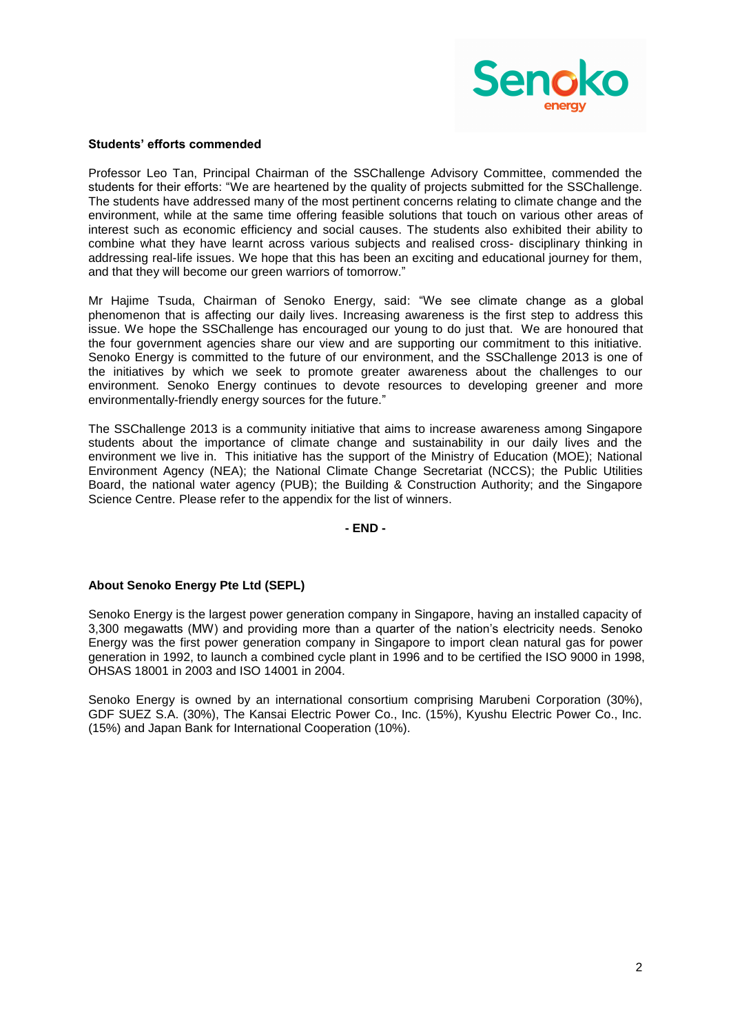

#### **Students' efforts commended**

Professor Leo Tan, Principal Chairman of the SSChallenge Advisory Committee, commended the students for their efforts: "We are heartened by the quality of projects submitted for the SSChallenge. The students have addressed many of the most pertinent concerns relating to climate change and the environment, while at the same time offering feasible solutions that touch on various other areas of interest such as economic efficiency and social causes. The students also exhibited their ability to combine what they have learnt across various subjects and realised cross- disciplinary thinking in addressing real-life issues. We hope that this has been an exciting and educational journey for them, and that they will become our green warriors of tomorrow."

Mr Hajime Tsuda, Chairman of Senoko Energy, said: "We see climate change as a global phenomenon that is affecting our daily lives. Increasing awareness is the first step to address this issue. We hope the SSChallenge has encouraged our young to do just that. We are honoured that the four government agencies share our view and are supporting our commitment to this initiative. Senoko Energy is committed to the future of our environment, and the SSChallenge 2013 is one of the initiatives by which we seek to promote greater awareness about the challenges to our environment. Senoko Energy continues to devote resources to developing greener and more environmentally-friendly energy sources for the future."

The SSChallenge 2013 is a community initiative that aims to increase awareness among Singapore students about the importance of climate change and sustainability in our daily lives and the environment we live in. This initiative has the support of the Ministry of Education (MOE); National Environment Agency (NEA); the National Climate Change Secretariat (NCCS); the Public Utilities Board, the national water agency (PUB); the Building & Construction Authority; and the Singapore Science Centre. Please refer to the appendix for the list of winners.

**- END -**

### **About Senoko Energy Pte Ltd (SEPL)**

Senoko Energy is the largest power generation company in Singapore, having an installed capacity of 3,300 megawatts (MW) and providing more than a quarter of the nation's electricity needs. Senoko Energy was the first power generation company in Singapore to import clean natural gas for power generation in 1992, to launch a combined cycle plant in 1996 and to be certified the ISO 9000 in 1998, OHSAS 18001 in 2003 and ISO 14001 in 2004.

Senoko Energy is owned by an international consortium comprising Marubeni Corporation (30%), GDF SUEZ S.A. (30%), The Kansai Electric Power Co., Inc. (15%), Kyushu Electric Power Co., Inc. (15%) and Japan Bank for International Cooperation (10%).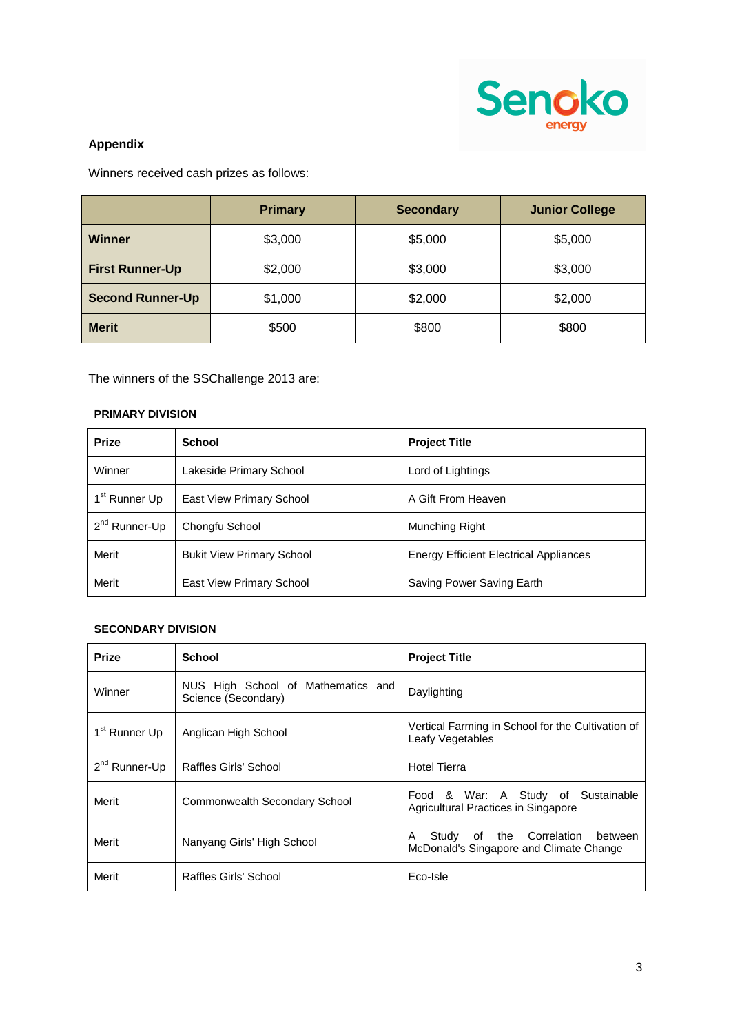

# **Appendix**

Winners received cash prizes as follows:

|                         | <b>Primary</b> | <b>Secondary</b> | <b>Junior College</b> |
|-------------------------|----------------|------------------|-----------------------|
| <b>Winner</b>           | \$3,000        | \$5,000          | \$5,000               |
| <b>First Runner-Up</b>  | \$2,000        | \$3,000          | \$3,000               |
| <b>Second Runner-Up</b> | \$1,000        | \$2,000          | \$2,000               |
| <b>Merit</b>            | \$500          | \$800            | \$800                 |

The winners of the SSChallenge 2013 are:

# **PRIMARY DIVISION**

| <b>Prize</b>              | <b>School</b>                    | <b>Project Title</b>                          |
|---------------------------|----------------------------------|-----------------------------------------------|
| Winner                    | Lakeside Primary School          | Lord of Lightings                             |
| 1 <sup>st</sup> Runner Up | East View Primary School         | A Gift From Heaven                            |
| 2 <sup>nd</sup> Runner-Up | Chongfu School                   | Munching Right                                |
| Merit                     | <b>Bukit View Primary School</b> | <b>Energy Efficient Electrical Appliances</b> |
| Merit                     | East View Primary School         | Saving Power Saving Earth                     |

### **SECONDARY DIVISION**

| <b>Prize</b>              | <b>School</b>                                             | <b>Project Title</b>                                                                   |
|---------------------------|-----------------------------------------------------------|----------------------------------------------------------------------------------------|
| Winner                    | NUS High School of Mathematics and<br>Science (Secondary) | Daylighting                                                                            |
| 1 <sup>st</sup> Runner Up | Anglican High School                                      | Vertical Farming in School for the Cultivation of<br>Leafy Vegetables                  |
| $2nd$ Runner-Up           | Raffles Girls' School                                     | <b>Hotel Tierra</b>                                                                    |
| Merit                     | Commonwealth Secondary School                             | Food & War: A Study of Sustainable<br>Agricultural Practices in Singapore              |
| Merit                     | Nanyang Girls' High School                                | of the Correlation<br>Study<br>A<br>between<br>McDonald's Singapore and Climate Change |
| Merit                     | Raffles Girls' School                                     | Eco-Isle                                                                               |